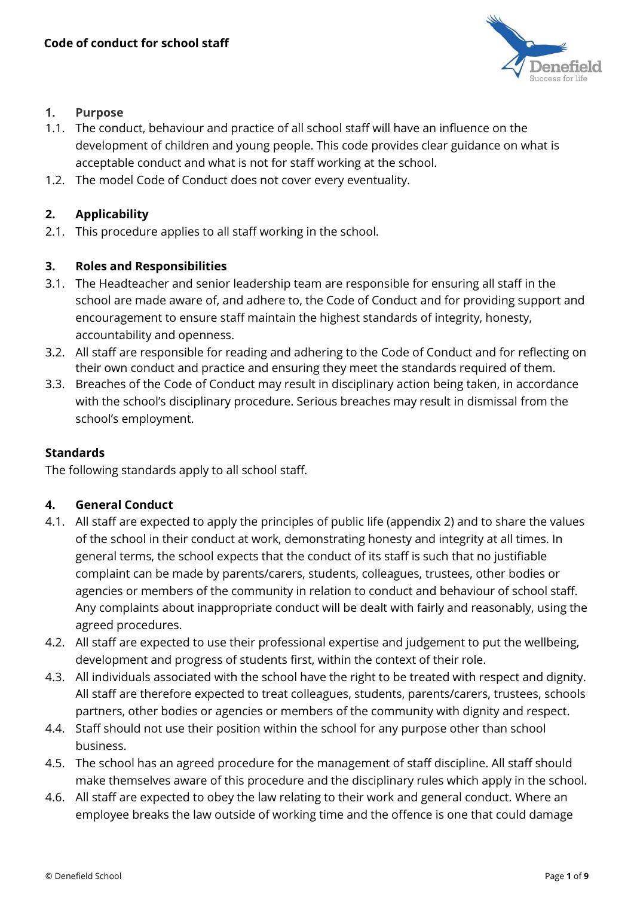

## **1. Purpose**

- 1.1. The conduct, behaviour and practice of all school staff will have an influence on the development of children and young people. This code provides clear guidance on what is acceptable conduct and what is not for staff working at the school.
- 1.2. The model Code of Conduct does not cover every eventuality.

## **2. Applicability**

2.1. This procedure applies to all staff working in the school.

## **3. Roles and Responsibilities**

- 3.1. The Headteacher and senior leadership team are responsible for ensuring all staff in the school are made aware of, and adhere to, the Code of Conduct and for providing support and encouragement to ensure staff maintain the highest standards of integrity, honesty, accountability and openness.
- 3.2. All staff are responsible for reading and adhering to the Code of Conduct and for reflecting on their own conduct and practice and ensuring they meet the standards required of them.
- 3.3. Breaches of the Code of Conduct may result in disciplinary action being taken, in accordance with the school's disciplinary procedure. Serious breaches may result in dismissal from the school's employment.

## **Standards**

The following standards apply to all school staff.

## **4. General Conduct**

- 4.1. All staff are expected to apply the principles of public life (appendix 2) and to share the values of the school in their conduct at work, demonstrating honesty and integrity at all times. In general terms, the school expects that the conduct of its staff is such that no justifiable complaint can be made by parents/carers, students, colleagues, trustees, other bodies or agencies or members of the community in relation to conduct and behaviour of school staff. Any complaints about inappropriate conduct will be dealt with fairly and reasonably, using the agreed procedures.
- 4.2. All staff are expected to use their professional expertise and judgement to put the wellbeing, development and progress of students first, within the context of their role.
- 4.3. All individuals associated with the school have the right to be treated with respect and dignity. All staff are therefore expected to treat colleagues, students, parents/carers, trustees, schools partners, other bodies or agencies or members of the community with dignity and respect.
- 4.4. Staff should not use their position within the school for any purpose other than school business.
- 4.5. The school has an agreed procedure for the management of staff discipline. All staff should make themselves aware of this procedure and the disciplinary rules which apply in the school.
- 4.6. All staff are expected to obey the law relating to their work and general conduct. Where an employee breaks the law outside of working time and the offence is one that could damage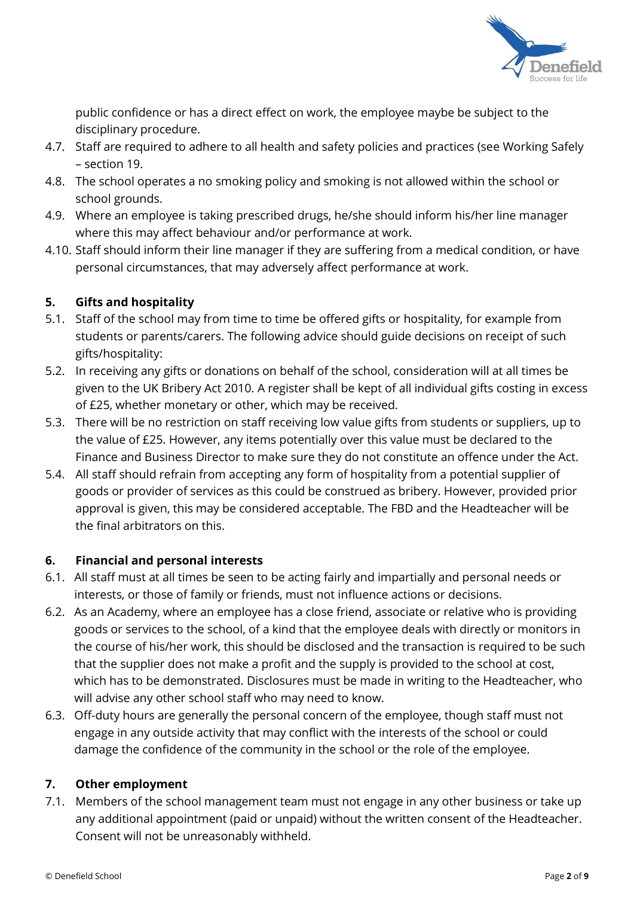

public confidence or has a direct effect on work, the employee maybe be subject to the disciplinary procedure.

- 4.7. Staff are required to adhere to all health and safety policies and practices (see Working Safely – section 19.
- 4.8. The school operates a no smoking policy and smoking is not allowed within the school or school grounds.
- 4.9. Where an employee is taking prescribed drugs, he/she should inform his/her line manager where this may affect behaviour and/or performance at work.
- 4.10. Staff should inform their line manager if they are suffering from a medical condition, or have personal circumstances, that may adversely affect performance at work.

# **5. Gifts and hospitality**

- 5.1. Staff of the school may from time to time be offered gifts or hospitality, for example from students or parents/carers. The following advice should guide decisions on receipt of such gifts/hospitality:
- 5.2. In receiving any gifts or donations on behalf of the school, consideration will at all times be given to the UK Bribery Act 2010. A register shall be kept of all individual gifts costing in excess of £25, whether monetary or other, which may be received.
- 5.3. There will be no restriction on staff receiving low value gifts from students or suppliers, up to the value of £25. However, any items potentially over this value must be declared to the Finance and Business Director to make sure they do not constitute an offence under the Act.
- 5.4. All staff should refrain from accepting any form of hospitality from a potential supplier of goods or provider of services as this could be construed as bribery. However, provided prior approval is given, this may be considered acceptable. The FBD and the Headteacher will be the final arbitrators on this.

# **6. Financial and personal interests**

- 6.1. All staff must at all times be seen to be acting fairly and impartially and personal needs or interests, or those of family or friends, must not influence actions or decisions.
- 6.2. As an Academy, where an employee has a close friend, associate or relative who is providing goods or services to the school, of a kind that the employee deals with directly or monitors in the course of his/her work, this should be disclosed and the transaction is required to be such that the supplier does not make a profit and the supply is provided to the school at cost, which has to be demonstrated. Disclosures must be made in writing to the Headteacher, who will advise any other school staff who may need to know.
- 6.3. Off-duty hours are generally the personal concern of the employee, though staff must not engage in any outside activity that may conflict with the interests of the school or could damage the confidence of the community in the school or the role of the employee.

# **7. Other employment**

7.1. Members of the school management team must not engage in any other business or take up any additional appointment (paid or unpaid) without the written consent of the Headteacher. Consent will not be unreasonably withheld.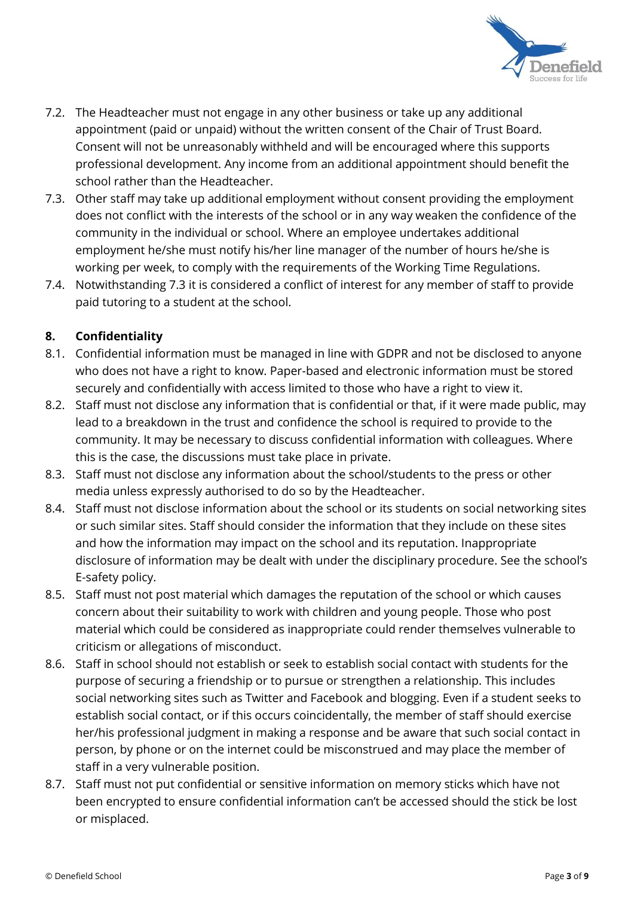

- 7.2. The Headteacher must not engage in any other business or take up any additional appointment (paid or unpaid) without the written consent of the Chair of Trust Board. Consent will not be unreasonably withheld and will be encouraged where this supports professional development. Any income from an additional appointment should benefit the school rather than the Headteacher.
- 7.3. Other staff may take up additional employment without consent providing the employment does not conflict with the interests of the school or in any way weaken the confidence of the community in the individual or school. Where an employee undertakes additional employment he/she must notify his/her line manager of the number of hours he/she is working per week, to comply with the requirements of the Working Time Regulations.
- 7.4. Notwithstanding 7.3 it is considered a conflict of interest for any member of staff to provide paid tutoring to a student at the school.

# **8. Confidentiality**

- 8.1. Confidential information must be managed in line with GDPR and not be disclosed to anyone who does not have a right to know. Paper-based and electronic information must be stored securely and confidentially with access limited to those who have a right to view it.
- 8.2. Staff must not disclose any information that is confidential or that, if it were made public, may lead to a breakdown in the trust and confidence the school is required to provide to the community. It may be necessary to discuss confidential information with colleagues. Where this is the case, the discussions must take place in private.
- 8.3. Staff must not disclose any information about the school/students to the press or other media unless expressly authorised to do so by the Headteacher.
- 8.4. Staff must not disclose information about the school or its students on social networking sites or such similar sites. Staff should consider the information that they include on these sites and how the information may impact on the school and its reputation. Inappropriate disclosure of information may be dealt with under the disciplinary procedure. See the school's E-safety policy.
- 8.5. Staff must not post material which damages the reputation of the school or which causes concern about their suitability to work with children and young people. Those who post material which could be considered as inappropriate could render themselves vulnerable to criticism or allegations of misconduct.
- 8.6. Staff in school should not establish or seek to establish social contact with students for the purpose of securing a friendship or to pursue or strengthen a relationship. This includes social networking sites such as Twitter and Facebook and blogging. Even if a student seeks to establish social contact, or if this occurs coincidentally, the member of staff should exercise her/his professional judgment in making a response and be aware that such social contact in person, by phone or on the internet could be misconstrued and may place the member of staff in a very vulnerable position.
- 8.7. Staff must not put confidential or sensitive information on memory sticks which have not been encrypted to ensure confidential information can't be accessed should the stick be lost or misplaced.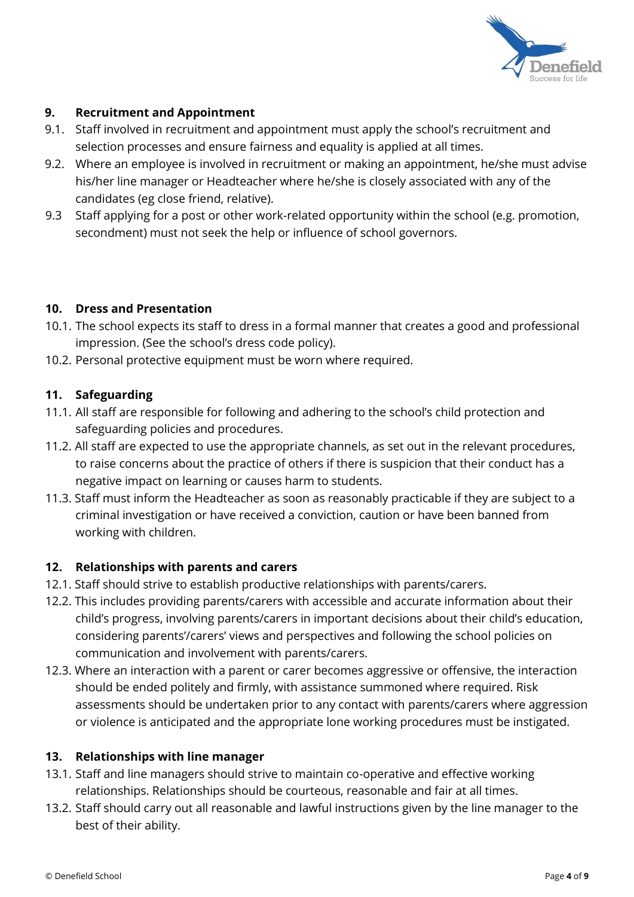

## **9. Recruitment and Appointment**

- 9.1. Staff involved in recruitment and appointment must apply the school's recruitment and selection processes and ensure fairness and equality is applied at all times.
- 9.2. Where an employee is involved in recruitment or making an appointment, he/she must advise his/her line manager or Headteacher where he/she is closely associated with any of the candidates (eg close friend, relative).
- 9.3 Staff applying for a post or other work-related opportunity within the school (e.g. promotion, secondment) must not seek the help or influence of school governors.

## **10. Dress and Presentation**

- 10.1. The school expects its staff to dress in a formal manner that creates a good and professional impression. (See the school's dress code policy).
- 10.2. Personal protective equipment must be worn where required.

## **11. Safeguarding**

- 11.1. All staff are responsible for following and adhering to the school's child protection and safeguarding policies and procedures.
- 11.2. All staff are expected to use the appropriate channels, as set out in the relevant procedures, to raise concerns about the practice of others if there is suspicion that their conduct has a negative impact on learning or causes harm to students.
- 11.3. Staff must inform the Headteacher as soon as reasonably practicable if they are subject to a criminal investigation or have received a conviction, caution or have been banned from working with children.

# **12. Relationships with parents and carers**

- 12.1. Staff should strive to establish productive relationships with parents/carers.
- 12.2. This includes providing parents/carers with accessible and accurate information about their child's progress, involving parents/carers in important decisions about their child's education, considering parents'/carers' views and perspectives and following the school policies on communication and involvement with parents/carers.
- 12.3. Where an interaction with a parent or carer becomes aggressive or offensive, the interaction should be ended politely and firmly, with assistance summoned where required. Risk assessments should be undertaken prior to any contact with parents/carers where aggression or violence is anticipated and the appropriate lone working procedures must be instigated.

## **13. Relationships with line manager**

- 13.1. Staff and line managers should strive to maintain co-operative and effective working relationships. Relationships should be courteous, reasonable and fair at all times.
- 13.2. Staff should carry out all reasonable and lawful instructions given by the line manager to the best of their ability.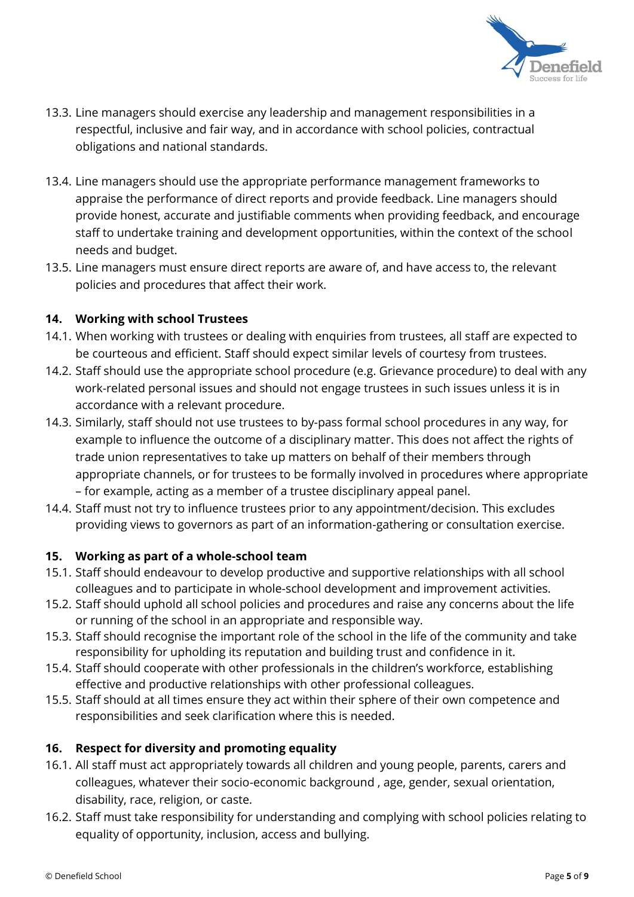

- 13.3. Line managers should exercise any leadership and management responsibilities in a respectful, inclusive and fair way, and in accordance with school policies, contractual obligations and national standards.
- 13.4. Line managers should use the appropriate performance management frameworks to appraise the performance of direct reports and provide feedback. Line managers should provide honest, accurate and justifiable comments when providing feedback, and encourage staff to undertake training and development opportunities, within the context of the school needs and budget.
- 13.5. Line managers must ensure direct reports are aware of, and have access to, the relevant policies and procedures that affect their work.

# **14. Working with school Trustees**

- 14.1. When working with trustees or dealing with enquiries from trustees, all staff are expected to be courteous and efficient. Staff should expect similar levels of courtesy from trustees.
- 14.2. Staff should use the appropriate school procedure (e.g. Grievance procedure) to deal with any work-related personal issues and should not engage trustees in such issues unless it is in accordance with a relevant procedure.
- 14.3. Similarly, staff should not use trustees to by-pass formal school procedures in any way, for example to influence the outcome of a disciplinary matter. This does not affect the rights of trade union representatives to take up matters on behalf of their members through appropriate channels, or for trustees to be formally involved in procedures where appropriate – for example, acting as a member of a trustee disciplinary appeal panel.
- 14.4. Staff must not try to influence trustees prior to any appointment/decision. This excludes providing views to governors as part of an information-gathering or consultation exercise.

# **15. Working as part of a whole-school team**

- 15.1. Staff should endeavour to develop productive and supportive relationships with all school colleagues and to participate in whole-school development and improvement activities.
- 15.2. Staff should uphold all school policies and procedures and raise any concerns about the life or running of the school in an appropriate and responsible way.
- 15.3. Staff should recognise the important role of the school in the life of the community and take responsibility for upholding its reputation and building trust and confidence in it.
- 15.4. Staff should cooperate with other professionals in the children's workforce, establishing effective and productive relationships with other professional colleagues.
- 15.5. Staff should at all times ensure they act within their sphere of their own competence and responsibilities and seek clarification where this is needed.

# **16. Respect for diversity and promoting equality**

- 16.1. All staff must act appropriately towards all children and young people, parents, carers and colleagues, whatever their socio-economic background , age, gender, sexual orientation, disability, race, religion, or caste.
- 16.2. Staff must take responsibility for understanding and complying with school policies relating to equality of opportunity, inclusion, access and bullying.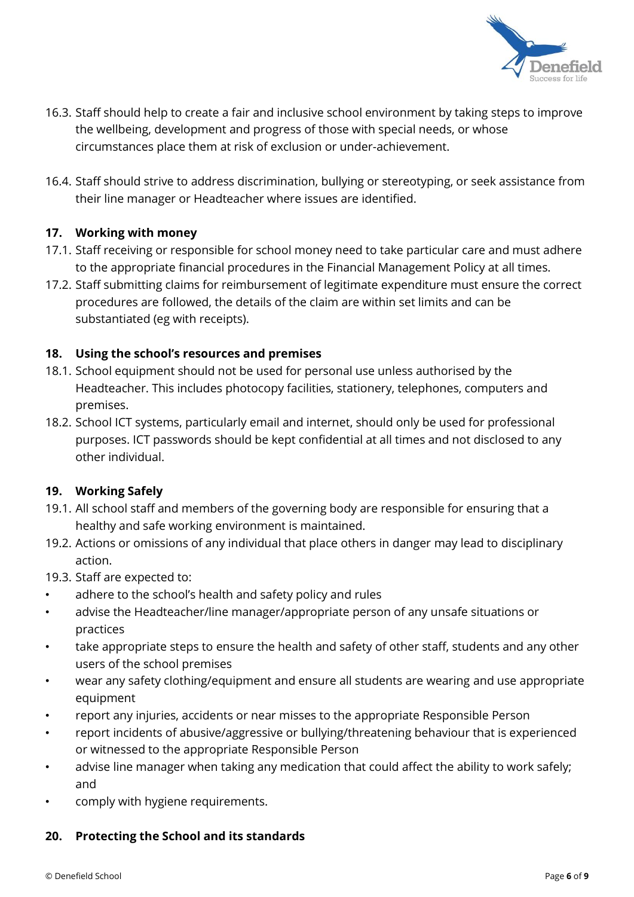

- 16.3. Staff should help to create a fair and inclusive school environment by taking steps to improve the wellbeing, development and progress of those with special needs, or whose circumstances place them at risk of exclusion or under-achievement.
- 16.4. Staff should strive to address discrimination, bullying or stereotyping, or seek assistance from their line manager or Headteacher where issues are identified.

# **17. Working with money**

- 17.1. Staff receiving or responsible for school money need to take particular care and must adhere to the appropriate financial procedures in the Financial Management Policy at all times.
- 17.2. Staff submitting claims for reimbursement of legitimate expenditure must ensure the correct procedures are followed, the details of the claim are within set limits and can be substantiated (eg with receipts).

## **18. Using the school's resources and premises**

- 18.1. School equipment should not be used for personal use unless authorised by the Headteacher. This includes photocopy facilities, stationery, telephones, computers and premises.
- 18.2. School ICT systems, particularly email and internet, should only be used for professional purposes. ICT passwords should be kept confidential at all times and not disclosed to any other individual.

# **19. Working Safely**

- 19.1. All school staff and members of the governing body are responsible for ensuring that a healthy and safe working environment is maintained.
- 19.2. Actions or omissions of any individual that place others in danger may lead to disciplinary action.
- 19.3. Staff are expected to:
- adhere to the school's health and safety policy and rules
- advise the Headteacher/line manager/appropriate person of any unsafe situations or practices
- take appropriate steps to ensure the health and safety of other staff, students and any other users of the school premises
- wear any safety clothing/equipment and ensure all students are wearing and use appropriate equipment
- report any injuries, accidents or near misses to the appropriate Responsible Person
- report incidents of abusive/aggressive or bullying/threatening behaviour that is experienced or witnessed to the appropriate Responsible Person
- advise line manager when taking any medication that could affect the ability to work safely; and
- comply with hygiene requirements.

## **20. Protecting the School and its standards**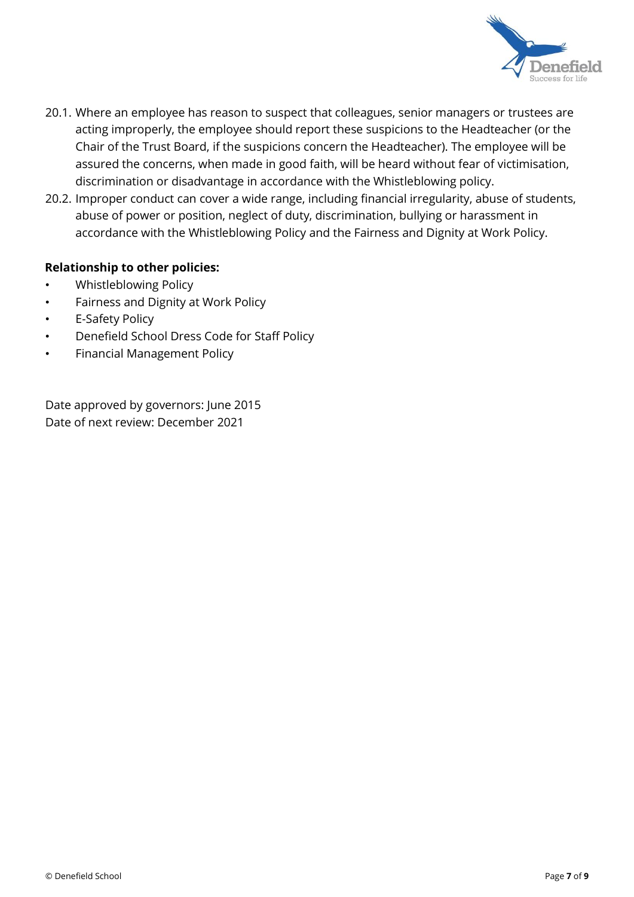

- 20.1. Where an employee has reason to suspect that colleagues, senior managers or trustees are acting improperly, the employee should report these suspicions to the Headteacher (or the Chair of the Trust Board, if the suspicions concern the Headteacher). The employee will be assured the concerns, when made in good faith, will be heard without fear of victimisation, discrimination or disadvantage in accordance with the Whistleblowing policy.
- 20.2. Improper conduct can cover a wide range, including financial irregularity, abuse of students, abuse of power or position, neglect of duty, discrimination, bullying or harassment in accordance with the Whistleblowing Policy and the Fairness and Dignity at Work Policy.

## **Relationship to other policies:**

- Whistleblowing Policy
- Fairness and Dignity at Work Policy
- E-Safety Policy
- Denefield School Dress Code for Staff Policy
- Financial Management Policy

Date approved by governors: June 2015 Date of next review: December 2021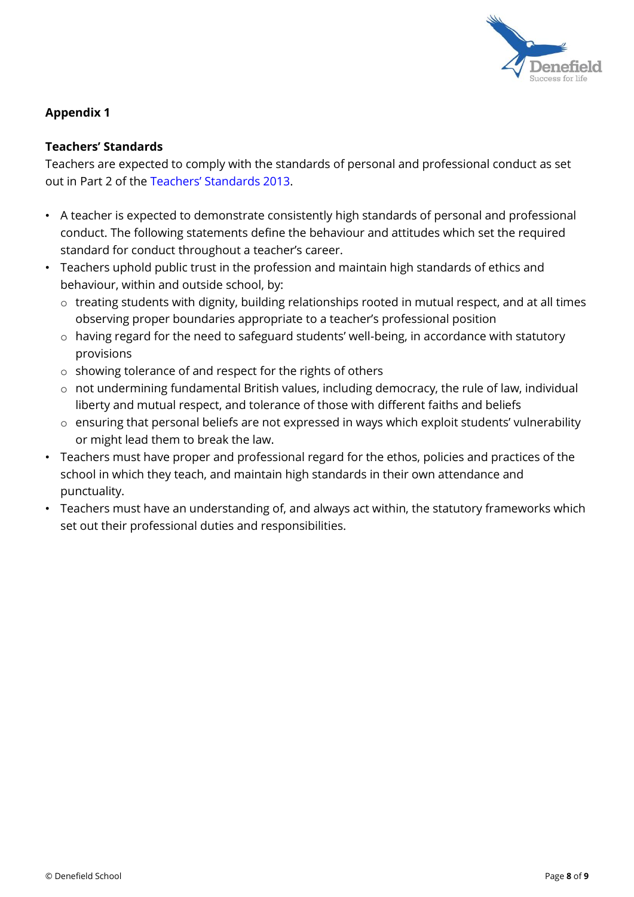

# **Appendix 1**

## **Teachers' Standards**

Teachers are expected to comply with the standards of personal and professional conduct as set out in Part 2 of the [Teachers' Standa](https://www.gov.uk/government/uploads/system/uploads/attachment_data/file/283198/Teachers__Standards.pdf)rds 20[13.](https://www.gov.uk/government/uploads/system/uploads/attachment_data/file/283198/Teachers__Standards.pdf)

- A teacher is expected to demonstrate consistently high standards of personal and professional conduct. The following statements define the behaviour and attitudes which set the required standard for conduct throughout a teacher's career.
- Teachers uphold public trust in the profession and maintain high standards of ethics and behaviour, within and outside school, by:
	- o treating students with dignity, building relationships rooted in mutual respect, and at all times observing proper boundaries appropriate to a teacher's professional position
	- o having regard for the need to safeguard students' well-being, in accordance with statutory provisions
	- o showing tolerance of and respect for the rights of others
	- o not undermining fundamental British values, including democracy, the rule of law, individual liberty and mutual respect, and tolerance of those with different faiths and beliefs
	- o ensuring that personal beliefs are not expressed in ways which exploit students' vulnerability or might lead them to break the law.
- Teachers must have proper and professional regard for the ethos, policies and practices of the school in which they teach, and maintain high standards in their own attendance and punctuality.
- Teachers must have an understanding of, and always act within, the statutory frameworks which set out their professional duties and responsibilities.